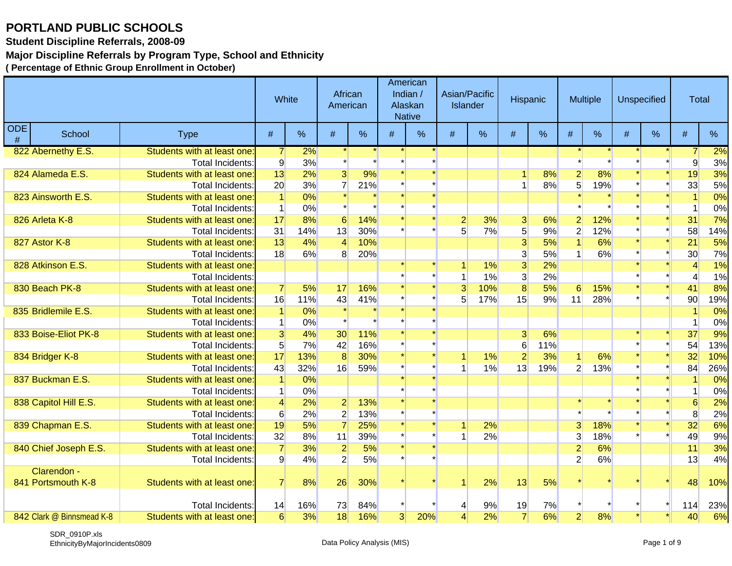**Student Discipline Referrals, 2008-09**

### **Major Discipline Referrals by Program Type, School and Ethnicity**

|             |                           |                             | White          |     | African<br>American |     |                | American<br>Indian /<br>Alaskan<br><b>Native</b> | Asian/Pacific<br><b>Islander</b> |     | Hispanic       |     |                | <b>Multiple</b> |      | <b>Unspecified</b> | <b>Total</b>   |     |
|-------------|---------------------------|-----------------------------|----------------|-----|---------------------|-----|----------------|--------------------------------------------------|----------------------------------|-----|----------------|-----|----------------|-----------------|------|--------------------|----------------|-----|
| ODE<br>$\#$ | School                    | <b>Type</b>                 | #              | %   | #                   | %   | #              | %                                                | #                                | %   | $\#$           | %   | #              | %               | $\#$ | %                  | $\#$           | %   |
|             | 822 Abernethy E.S.        | Students with at least one: | $\overline{7}$ | 2%  |                     |     |                |                                                  |                                  |     |                |     |                |                 |      |                    |                | 2%  |
|             |                           | Total Incidents:            | $\overline{9}$ | 3%  |                     |     |                |                                                  |                                  |     |                |     |                |                 |      |                    | 9              | 3%  |
|             | 824 Alameda E.S.          | Students with at least one: | 13             | 2%  | $\overline{3}$      | 9%  |                |                                                  |                                  |     |                | 8%  | $\overline{2}$ | 8%              |      |                    | 19             | 3%  |
|             |                           | Total Incidents:            | 20             | 3%  | $\overline{7}$      | 21% |                |                                                  |                                  |     |                | 8%  | 5 <sup>1</sup> | 19%             |      |                    | 33             | 5%  |
|             | 823 Ainsworth E.S.        | Students with at least one: | $\vert$ 1      | 0%  |                     |     |                |                                                  |                                  |     |                |     |                |                 |      |                    | $\overline{1}$ | 0%  |
|             |                           | <b>Total Incidents:</b>     | $\mathbf{1}$   | 0%  |                     |     |                |                                                  |                                  |     |                |     |                |                 |      |                    | -1             | 0%  |
|             | 826 Arleta K-8            | Students with at least one: | 17             | 8%  | 6 <sup>1</sup>      | 14% |                |                                                  | $\mathbf{2}$                     | 3%  | $\mathbf{3}$   | 6%  | $\mathbf{2}$   | 12%             |      |                    | 31             | 7%  |
|             |                           | <b>Total Incidents:</b>     | 31             | 14% | 13                  | 30% |                |                                                  | 5                                | 7%  | $\overline{5}$ | 9%  | $\overline{2}$ | 12%             |      |                    | 58             | 14% |
|             | 827 Astor K-8             | Students with at least one: | 13             | 4%  | $\overline{4}$      | 10% |                |                                                  |                                  |     | 3              | 5%  |                | 6%              |      |                    | 21             | 5%  |
|             |                           | <b>Total Incidents:</b>     | 18             | 6%  | 8 <sup>1</sup>      | 20% |                |                                                  |                                  |     | 3              | 5%  |                | 6%              |      |                    | 30             | 7%  |
|             | 828 Atkinson E.S.         | Students with at least one: |                |     |                     |     |                |                                                  |                                  | 1%  | $\overline{3}$ | 2%  |                |                 |      |                    |                | 1%  |
|             |                           | <b>Total Incidents:</b>     |                |     |                     |     |                |                                                  |                                  | 1%  | $\overline{3}$ | 2%  |                |                 |      |                    |                | 1%  |
|             | 830 Beach PK-8            | Students with at least one: | $\overline{7}$ | 5%  | 17                  | 16% |                |                                                  | $\overline{3}$                   | 10% | 8              | 5%  | 6              | 15%             |      |                    | 41             | 8%  |
|             |                           | Total Incidents:            | 16             | 11% | 43                  | 41% |                |                                                  | 5 <sup>1</sup>                   | 17% | 15             | 9%  | 11             | 28%             |      |                    | 90             | 19% |
|             | 835 Bridlemile E.S.       | Students with at least one: | $\vert$ 1      | 0%  |                     |     |                |                                                  |                                  |     |                |     |                |                 |      |                    |                | 0%  |
|             |                           | <b>Total Incidents:</b>     | $\vert$ 1      | 0%  |                     |     |                |                                                  |                                  |     |                |     |                |                 |      |                    |                | 0%  |
|             | 833 Boise-Eliot PK-8      | Students with at least one: | 3              | 4%  | 30 <sub>o</sub>     | 11% |                |                                                  |                                  |     | 3              | 6%  |                |                 |      |                    | 37             | 9%  |
|             |                           | Total Incidents:            | 5 <sup>1</sup> | 7%  | 42                  | 16% |                |                                                  |                                  |     | $6\phantom{1}$ | 11% |                |                 |      |                    | 54             | 13% |
|             | 834 Bridger K-8           | Students with at least one: | 17             | 13% | $\overline{8}$      | 30% |                |                                                  |                                  | 1%  | $\overline{2}$ | 3%  |                | 6%              |      |                    | 32             | 10% |
|             |                           | Total Incidents:            | 43             | 32% | 16                  | 59% |                |                                                  |                                  | 1%  | 13             | 19% | 2 <sup>1</sup> | 13%             |      |                    | 84             | 26% |
|             | 837 Buckman E.S.          | Students with at least one: | $\overline{1}$ | 0%  |                     |     |                |                                                  |                                  |     |                |     |                |                 |      |                    |                | 0%  |
|             |                           | Total Incidents:            | $\mathbf{1}$   | 0%  |                     |     |                |                                                  |                                  |     |                |     |                |                 |      |                    |                | 0%  |
|             | 838 Capitol Hill E.S.     | Students with at least one: | $\overline{4}$ | 2%  | $\overline{2}$      | 13% |                |                                                  |                                  |     |                |     |                |                 |      |                    | 6              | 2%  |
|             |                           | Total Incidents:            | 6              | 2%  | $\overline{2}$      | 13% |                |                                                  |                                  |     |                |     |                |                 |      |                    | 8              | 2%  |
|             | 839 Chapman E.S.          | Students with at least one: | 19             | 5%  | $\overline{7}$      | 25% |                |                                                  |                                  | 2%  |                |     | $\overline{3}$ | 18%             |      |                    | 32             | 6%  |
|             |                           | Total Incidents:            | 32             | 8%  | 11                  | 39% |                |                                                  |                                  | 2%  |                |     | 3              | 18%             |      |                    | 49             | 9%  |
|             | 840 Chief Joseph E.S.     | Students with at least one: | $\overline{7}$ | 3%  | $\overline{2}$      | 5%  |                |                                                  |                                  |     |                |     | $\overline{2}$ | 6%              |      |                    | 11             | 3%  |
|             |                           | <b>Total Incidents:</b>     | 9              | 4%  | $\overline{2}$      | 5%  |                |                                                  |                                  |     |                |     | $\overline{2}$ | 6%              |      |                    | 13             | 4%  |
|             | Clarendon -               |                             |                |     |                     |     |                |                                                  |                                  |     |                |     |                |                 |      |                    |                |     |
|             | 841 Portsmouth K-8        | Students with at least one: | $\overline{7}$ | 8%  | 26                  | 30% |                |                                                  |                                  | 2%  | 13             | 5%  |                |                 |      |                    | 48             | 10% |
|             |                           |                             |                |     |                     |     |                |                                                  |                                  |     |                |     |                |                 |      |                    |                |     |
|             |                           | Total Incidents:            | 14             | 16% | 73                  | 84% |                |                                                  |                                  | 9%  | 19             | 7%  |                |                 |      |                    | 114            | 23% |
|             | 842 Clark @ Binnsmead K-8 | Students with at least one: | 6              | 3%  | 18                  | 16% | $\overline{3}$ | 20%                                              | 4                                | 2%  | $\overline{7}$ | 6%  | $\overline{2}$ | 8%              |      |                    | 40             | 6%  |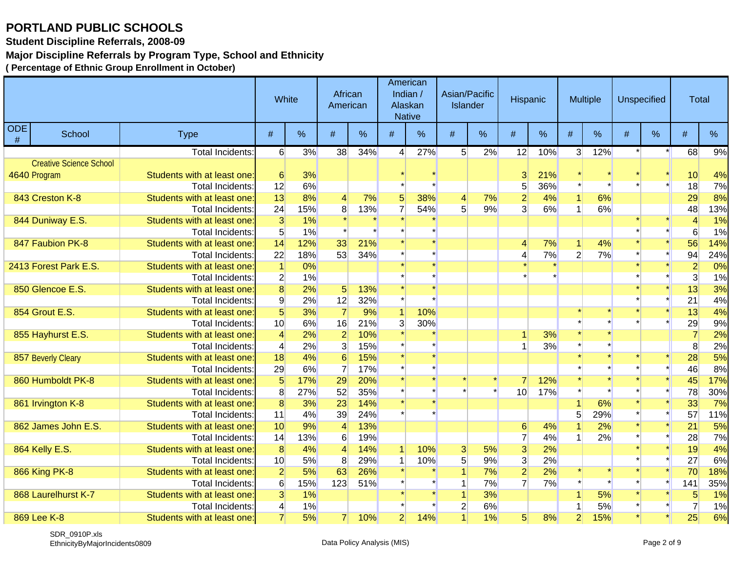**Student Discipline Referrals, 2008-09**

### **Major Discipline Referrals by Program Type, School and Ethnicity**

|                    |                                |                             | White           |     | African<br>American |     |                  | American<br>Indian /<br>Alaskan<br><b>Native</b> | Asian/Pacific<br>Islander |    | Hispanic        |      |                | <b>Multiple</b> |   | <b>Unspecified</b> | <b>Total</b>   |     |
|--------------------|--------------------------------|-----------------------------|-----------------|-----|---------------------|-----|------------------|--------------------------------------------------|---------------------------|----|-----------------|------|----------------|-----------------|---|--------------------|----------------|-----|
| <b>ODE</b><br>$\#$ | School                         | <b>Type</b>                 | #               | %   | #                   | %   | #                | $\%$                                             | #                         | %  | #               | $\%$ | #              | %               | # | $\%$               | #              | %   |
|                    |                                | <b>Total Incidents:</b>     | $6 \mid$        | 3%  | 38                  | 34% | $\left 4\right $ | 27%                                              | 5 <sup>5</sup>            | 2% | 12              | 10%  | 3 <sup>1</sup> | 12%             |   | $\star$            | 68             | 9%  |
|                    | <b>Creative Science School</b> |                             |                 |     |                     |     |                  |                                                  |                           |    |                 |      |                |                 |   |                    |                |     |
|                    | 4640 Program                   | Students with at least one: | 6               | 3%  |                     |     |                  |                                                  |                           |    | 3               | 21%  |                |                 |   |                    | 10             | 4%  |
|                    |                                | <b>Total Incidents:</b>     | 12              | 6%  |                     |     |                  |                                                  |                           |    | 5               | 36%  |                |                 |   |                    | 18             | 7%  |
|                    | 843 Creston K-8                | Students with at least one: | 13              | 8%  | 4                   | 7%  | 5 <sup>1</sup>   | 38%                                              | $\overline{4}$            | 7% | $\overline{2}$  | 4%   |                | 6%              |   |                    | 29             | 8%  |
|                    |                                | <b>Total Incidents:</b>     | 24              | 15% | 8                   | 13% | $\overline{7}$   | 54%                                              | 5 <sup>1</sup>            | 9% | $\overline{3}$  | 6%   |                | 6%              |   |                    | 48             | 13% |
|                    | 844 Duniway E.S.               | Students with at least one: | $\overline{3}$  | 1%  |                     |     |                  |                                                  |                           |    |                 |      |                |                 |   |                    | $\overline{4}$ | 1%  |
|                    |                                | <b>Total Incidents:</b>     | 5 <sup>5</sup>  | 1%  |                     |     |                  |                                                  |                           |    |                 |      |                |                 |   |                    | 6              | 1%  |
|                    | 847 Faubion PK-8               | Students with at least one: | 14              | 12% | 33                  | 21% |                  |                                                  |                           |    | 4               | 7%   |                | 4%              |   |                    | 56             | 14% |
|                    |                                | Total Incidents:            | 22              | 18% | 53                  | 34% |                  |                                                  |                           |    | 4               | 7%   | $\overline{2}$ | 7%              |   |                    | 94             | 24% |
|                    | 2413 Forest Park E.S.          | Students with at least one: | $\vert$         | 0%  |                     |     |                  |                                                  |                           |    |                 |      |                |                 |   |                    | $\mathbf{2}$   | 0%  |
|                    |                                | <b>Total Incidents:</b>     | $\overline{2}$  | 1%  |                     |     |                  |                                                  |                           |    |                 |      |                |                 |   |                    | 3              | 1%  |
|                    | 850 Glencoe E.S.               | Students with at least one: | $\overline{8}$  | 2%  | 5 <sup>1</sup>      | 13% |                  |                                                  |                           |    |                 |      |                |                 |   |                    | 13             | 3%  |
|                    |                                | Total Incidents:            | 9               | 2%  | 12                  | 32% |                  |                                                  |                           |    |                 |      |                |                 |   |                    | 21             | 4%  |
|                    | 854 Grout E.S.                 | Students with at least one  | $5\overline{)}$ | 3%  | $\overline{7}$      | 9%  |                  | 10%                                              |                           |    |                 |      |                |                 |   |                    | 13             | 4%  |
|                    |                                | <b>Total Incidents:</b>     | 10 <sup>1</sup> | 6%  | 16                  | 21% | $\overline{3}$   | 30%                                              |                           |    |                 |      |                |                 |   |                    | 29             | 9%  |
|                    | 855 Hayhurst E.S.              | Students with at least one: | $\overline{4}$  | 2%  | $\overline{2}$      | 10% |                  |                                                  |                           |    |                 | 3%   |                |                 |   |                    |                | 2%  |
|                    |                                | Total Incidents:            | $\overline{4}$  | 2%  | $\overline{3}$      | 15% |                  |                                                  |                           |    |                 | 3%   |                |                 |   |                    | 8              | 2%  |
|                    | 857 Beverly Cleary             | Students with at least one: | 18              | 4%  | 6                   | 15% |                  |                                                  |                           |    |                 |      |                |                 |   |                    | 28             | 5%  |
|                    |                                | Total Incidents:            | 29              | 6%  | $\overline{7}$      | 17% |                  |                                                  |                           |    |                 |      |                |                 |   |                    | 46             | 8%  |
|                    | 860 Humboldt PK-8              | Students with at least one: | $\overline{5}$  | 17% | 29                  | 20% |                  |                                                  |                           |    | 7               | 12%  |                |                 |   |                    | 45             | 17% |
|                    |                                | <b>Total Incidents:</b>     | 8               | 27% | 52                  | 35% |                  |                                                  |                           |    | 10 <sup>1</sup> | 17%  |                |                 |   |                    | 78             | 30% |
|                    | 861 Irvington K-8              | Students with at least one: | $\overline{8}$  | 3%  | 23                  | 14% |                  |                                                  |                           |    |                 |      |                | 6%              |   |                    | 33             | 7%  |
|                    |                                | Total Incidents:            | 11              | 4%  | 39                  | 24% |                  |                                                  |                           |    |                 |      | 5              | 29%             |   |                    | 57             | 11% |
|                    | 862 James John E.S.            | Students with at least one: | 10              | 9%  | 4                   | 13% |                  |                                                  |                           |    | $6\phantom{1}6$ | 4%   |                | 2%              |   |                    | 21             | 5%  |
|                    |                                | <b>Total Incidents:</b>     | 14              | 13% | $6 \overline{6}$    | 19% |                  |                                                  |                           |    | $\overline{7}$  | 4%   |                | 2%              |   |                    | 28             | 7%  |
|                    | 864 Kelly E.S.                 | Students with at least one: | $\overline{8}$  | 4%  | $\overline{4}$      | 14% |                  | 10%                                              | $\mathbf{3}$              | 5% | $\overline{3}$  | 2%   |                |                 |   |                    | 19             | 4%  |
|                    |                                | <b>Total Incidents:</b>     | 10 <sup>1</sup> | 5%  | 8                   | 29% |                  | 10%                                              | 5 <sup>1</sup>            | 9% | $\overline{3}$  | 2%   |                |                 |   |                    | 27             | 6%  |
|                    | 866 King PK-8                  | Students with at least one: | $\overline{2}$  | 5%  | 63                  | 26% |                  |                                                  |                           | 7% | $\overline{2}$  | 2%   |                |                 |   |                    | 70             | 18% |
|                    |                                | Total Incidents:            | 6               | 15% | 123                 | 51% |                  |                                                  |                           | 7% | $\overline{7}$  | 7%   |                |                 |   |                    | 141            | 35% |
|                    | 868 Laurelhurst K-7            | Students with at least one  | 3               | 1%  |                     |     |                  |                                                  |                           | 3% |                 |      |                | 5%              |   |                    | 5              | 1%  |
|                    |                                | Total Incidents:            | $\overline{4}$  | 1%  |                     |     |                  |                                                  | $\overline{2}$            | 6% |                 |      |                | 5%              |   |                    |                | 1%  |
|                    | 869 Lee K-8                    | Students with at least one: | $\overline{7}$  | 5%  | 7 <sup>1</sup>      | 10% | $\mathbf{2}$     | 14%                                              |                           | 1% | 5 <sup>1</sup>  | 8%   | $\mathbf{2}$   | 15%             |   |                    | 25             | 6%  |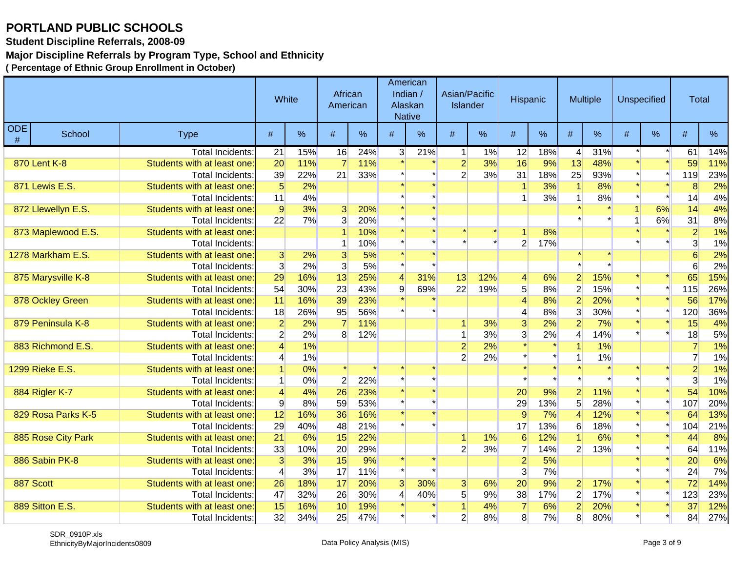**Student Discipline Referrals, 2008-09**

### **Major Discipline Referrals by Program Type, School and Ethnicity**

|                 |                    |                             | White           |       | African<br>American |     | Alaskan<br><b>Native</b> | American<br>Indian / | Asian/Pacific<br><b>Islander</b> |       | Hispanic        |      |                 | <b>Multiple</b> |   | <b>Unspecified</b> | <b>Total</b>   |     |
|-----------------|--------------------|-----------------------------|-----------------|-------|---------------------|-----|--------------------------|----------------------|----------------------------------|-------|-----------------|------|-----------------|-----------------|---|--------------------|----------------|-----|
| <b>ODE</b><br># | School             | <b>Type</b>                 | #               | %     | #                   | %   | #                        | %                    | #                                | %     | #               | $\%$ | #               | %               | # | $\%$               | #              | %   |
|                 |                    | <b>Total Incidents:</b>     | 21              | 15%   | 16                  | 24% | 3 <sup>1</sup>           | 21%                  | 1                                | 1%    | 12              | 18%  | $\vert 4 \vert$ | 31%             |   |                    | 61             | 14% |
|                 | 870 Lent K-8       | Students with at least one: | 20              | 11%   |                     | 11% |                          |                      | $\overline{2}$                   | 3%    | 16              | 9%   | 13              | 48%             |   |                    | 59             | 11% |
|                 |                    | <b>Total Incidents:</b>     | 39              | 22%   | 21                  | 33% |                          |                      | $\overline{2}$                   | 3%    | 31              | 18%  | 25              | 93%             |   |                    | 119            | 23% |
|                 | 871 Lewis E.S.     | Students with at least one: | $5\overline{)}$ | 2%    |                     |     |                          |                      |                                  |       |                 | 3%   |                 | 8%              |   |                    | 8              | 2%  |
|                 |                    | <b>Total Incidents:</b>     | 11              | 4%    |                     |     |                          |                      |                                  |       |                 | 3%   |                 | 8%              |   |                    | 14             | 4%  |
|                 | 872 Llewellyn E.S. | Students with at least one  | $\overline{9}$  | 3%    | 3 <sup>1</sup>      | 20% |                          |                      |                                  |       |                 |      |                 |                 |   | 6%                 | 14             | 4%  |
|                 |                    | Total Incidents:            | 22              | 7%    | 3 <sup>1</sup>      | 20% |                          |                      |                                  |       |                 |      |                 |                 |   | 6%                 | 31             | 8%  |
|                 | 873 Maplewood E.S. | Students with at least one: |                 |       |                     | 10% |                          |                      |                                  |       |                 | 8%   |                 |                 |   |                    | $\overline{2}$ | 1%  |
|                 |                    | <b>Total Incidents:</b>     |                 |       |                     | 10% |                          |                      |                                  |       | $\overline{2}$  | 17%  |                 |                 |   |                    | 3              | 1%  |
|                 | 1278 Markham E.S.  | Students with at least one: | 3 <sup>l</sup>  | 2%    | $\overline{3}$      | 5%  |                          |                      |                                  |       |                 |      |                 |                 |   |                    |                | 2%  |
|                 |                    | Total Incidents:            | $\overline{3}$  | 2%    | $\overline{3}$      | 5%  |                          |                      |                                  |       |                 |      |                 |                 |   |                    | 6              | 2%  |
|                 | 875 Marysville K-8 | Students with at least one: | 29              | 16%   | 13                  | 25% | 4                        | 31%                  | 13                               | 12%   | $\overline{4}$  | 6%   | $\overline{2}$  | 15%             |   |                    | 65             | 15% |
|                 |                    | Total Incidents:            | 54              | 30%   | 23                  | 43% | 9                        | 69%                  | 22                               | 19%   | 5 <sup>5</sup>  | 8%   | $\overline{2}$  | 15%             |   |                    | 115            | 26% |
|                 | 878 Ockley Green   | Students with at least one: | 11              | 16%   | 39                  | 23% |                          |                      |                                  |       | $\Delta$        | 8%   | $\overline{2}$  | 20%             |   |                    | 56             | 17% |
|                 |                    | <b>Total Incidents:</b>     | 18              | 26%   | 95                  | 56% |                          |                      |                                  |       | 4               | 8%   | $\overline{3}$  | 30%             |   |                    | 120            | 36% |
|                 | 879 Peninsula K-8  | Students with at least one: | $\overline{2}$  | 2%    |                     | 11% |                          |                      |                                  | 3%    | $\overline{3}$  | 2%   | $\overline{2}$  | 7%              |   |                    | 15             | 4%  |
|                 |                    | Total Incidents:            | $2\vert$        | 2%    | 8 <sup>°</sup>      | 12% |                          |                      |                                  | 3%    | $\overline{3}$  | 2%   | 4               | 14%             |   |                    | 18             | 5%  |
|                 | 883 Richmond E.S.  | Students with at least one: | $\vert 4 \vert$ | 1%    |                     |     |                          |                      | $\overline{2}$                   | 2%    |                 |      |                 | 1%              |   |                    |                | 1%  |
|                 |                    | Total Incidents:            | $\vert 4 \vert$ | 1%    |                     |     |                          |                      | $\overline{2}$                   | 2%    |                 |      |                 | 1%              |   |                    | $\overline{7}$ | 1%  |
|                 | 1299 Rieke E.S.    | Students with at least one: | $\overline{1}$  | $0\%$ |                     |     |                          |                      |                                  |       |                 |      |                 |                 |   |                    | $\overline{2}$ | 1%  |
|                 |                    | Total Incidents:            | $\vert$ 1       | 0%    | $\overline{2}$      | 22% |                          |                      |                                  |       |                 |      |                 |                 |   |                    | $\overline{3}$ | 1%  |
|                 | 884 Rigler K-7     | Students with at least one: | $\overline{4}$  | 4%    | 26                  | 23% |                          |                      |                                  |       | 20              | 9%   | $\overline{2}$  | 11%             |   |                    | 54             | 10% |
|                 |                    | Total Incidents:            | $\overline{9}$  | 8%    | 59                  | 53% |                          |                      |                                  |       | 29              | 13%  | 5 <sup>1</sup>  | 28%             |   |                    | 107            | 20% |
|                 | 829 Rosa Parks K-5 | Students with at least one: | 12              | 16%   | 36                  | 16% |                          |                      |                                  |       | $\vert 9 \vert$ | 7%   | Δ               | 12%             |   |                    | 64             | 13% |
|                 |                    | <b>Total Incidents:</b>     | 29              | 40%   | 48                  | 21% |                          |                      |                                  |       | 17              | 13%  | 6               | 18%             |   |                    | 104            | 21% |
|                 | 885 Rose City Park | Students with at least one: | 21              | 6%    | 15                  | 22% |                          |                      | 1                                | $1\%$ | 6               | 12%  |                 | 6%              |   |                    | 44             | 8%  |
|                 |                    | <b>Total Incidents:</b>     | 33              | 10%   | 20                  | 29% |                          |                      | $\overline{2}$                   | 3%    | $\overline{7}$  | 14%  | $\overline{2}$  | 13%             |   |                    | 64             | 11% |
|                 | 886 Sabin PK-8     | Students with at least one: | 3               | 3%    | 15                  | 9%  |                          |                      |                                  |       | $\overline{2}$  | 5%   |                 |                 |   | $\star$            | 20             | 6%  |
|                 |                    | Total Incidents:            | $\vert 4 \vert$ | 3%    | 17                  | 11% |                          |                      |                                  |       | $\overline{3}$  | 7%   |                 |                 |   |                    | 24             | 7%  |
| 887 Scott       |                    | Students with at least one: | 26              | 18%   | 17                  | 20% | 3                        | 30%                  | $\mathbf{3}$                     | 6%    | 20              | 9%   | $\mathbf{2}$    | 17%             |   |                    | 72             | 14% |
|                 |                    | Total Incidents:            | 47              | 32%   | 26                  | 30% | $\vert 4 \vert$          | 40%                  | 5 <sup>5</sup>                   | 9%    | 38              | 17%  | $\overline{2}$  | 17%             |   |                    | 123            | 23% |
|                 | 889 Sitton E.S.    | Students with at least one: | 15              | 16%   | 10                  | 19% |                          |                      |                                  | 4%    | $\overline{7}$  | 6%   | $\overline{2}$  | 20%             |   |                    | 37             | 12% |
|                 |                    | Total Incidents:            | 32              | 34%   | 25                  | 47% |                          |                      | $\overline{2}$                   | 8%    | 8               | 7%   | 8               | 80%             |   |                    | 84             | 27% |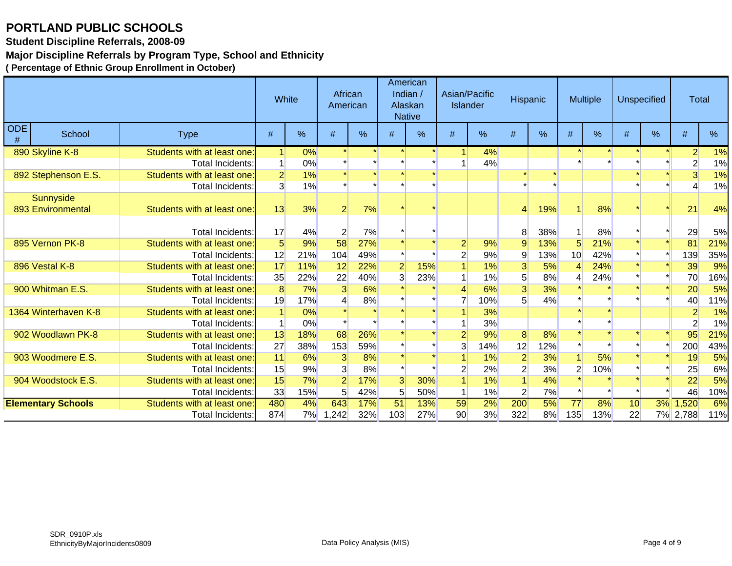**Student Discipline Referrals, 2008-09**

#### **Major Discipline Referrals by Program Type, School and Ethnicity**

|          |                                |                             | White          |       | African<br>American |     |                 | American<br>Indian $/$<br>Alaskan<br><b>Native</b> | Asian/Pacific<br>Islander |     | Hispanic       |         |                 | <b>Multiple</b> | <b>Unspecified</b> |               | <b>Total</b>    |     |
|----------|--------------------------------|-----------------------------|----------------|-------|---------------------|-----|-----------------|----------------------------------------------------|---------------------------|-----|----------------|---------|-----------------|-----------------|--------------------|---------------|-----------------|-----|
| ODE<br># | School                         | <b>Type</b>                 | #              | %     | #                   | %   | $\#$            | %                                                  | #                         | %   | #              | %       | $\#$            | $\%$            | #                  | $\frac{0}{0}$ | #               | %   |
|          | 890 Skyline K-8                | Students with at least one: |                | 0%    |                     |     |                 |                                                    |                           | 4%  |                |         |                 |                 |                    |               | $\overline{2}$  | 1%  |
|          |                                | <b>Total Incidents:</b>     | 1              | 0%    |                     |     |                 |                                                    |                           | 4%  |                |         |                 |                 |                    |               | $\overline{2}$  | 1%  |
|          | 892 Stephenson E.S.            | Students with at least one: | $\overline{2}$ | 1%    |                     |     |                 |                                                    |                           |     |                | $\star$ |                 |                 |                    |               | $\overline{3}$  | 1%  |
|          |                                | Total Incidents:            | 3              | 1%    |                     |     |                 |                                                    |                           |     |                |         |                 |                 |                    |               |                 | 1%  |
|          | Sunnyside<br>893 Environmental | Students with at least one: | 13             | 3%    | $\overline{2}$      | 7%  |                 |                                                    |                           |     | 4              | 19%     |                 | 8%              |                    |               | 21              | 4%  |
|          |                                | Total Incidents:            | 17             | 4%    | $\overline{2}$      | 7%  |                 |                                                    |                           |     | 8              | 38%     |                 | 8%              |                    |               | 29              | 5%  |
|          | 895 Vernon PK-8                | Students with at least one: | 5 <sup>5</sup> | 9%    | 58                  | 27% |                 |                                                    | $\overline{2}$            | 9%  | 9              | 13%     | $5\overline{)}$ | 21%             |                    |               | 81              | 21% |
|          |                                | <b>Total Incidents:</b>     | 12             | 21%   | 104                 | 49% |                 |                                                    | $\overline{2}$            | 9%  | 9              | 13%     | 10              | 42%             |                    |               | 139             | 35% |
|          | 896 Vestal K-8                 | Students with at least one: | 17             | 11%   | 12                  | 22% | $\overline{2}$  | 15%                                                |                           | 1%  | 3              | 5%      |                 | 24%             |                    |               | 39              | 9%  |
|          |                                | <b>Total Incidents:</b>     | 35             | 22%   | 22                  | 40% | $\overline{3}$  | 23%                                                |                           | 1%  | 5              | 8%      |                 | 24%             |                    |               | 70              | 16% |
|          | 900 Whitman E.S.               | Students with at least one: | 8              | 7%    | $\overline{3}$      | 6%  |                 |                                                    |                           | 6%  | 3              | 3%      |                 |                 |                    |               | 20              | 5%  |
|          |                                | Total Incidents:            | 19             | 17%   |                     | 8%  |                 |                                                    |                           | 10% |                | 4%      |                 |                 |                    |               | 40              | 11% |
|          | 1364 Winterhaven K-8           | Students with at least one: |                | 0%    |                     |     |                 |                                                    |                           | 3%  |                |         |                 |                 |                    |               | $\overline{2}$  | 1%  |
|          |                                | <b>Total Incidents:</b>     |                | 0%    |                     |     |                 |                                                    |                           | 3%  |                |         |                 |                 |                    |               |                 | 1%  |
|          | 902 Woodlawn PK-8              | Students with at least one: | 13             | 18%   | 68                  | 26% |                 |                                                    | $\overline{2}$            | 9%  | 8              | 8%      |                 |                 |                    |               | 95              | 21% |
|          |                                | Total Incidents:            | 27             | 38%   | 153                 | 59% |                 |                                                    | 3                         | 14% | 12             | 12%     |                 |                 |                    |               | 200             | 43% |
|          | 903 Woodmere E.S.              | Students with at least one: | 11             | 6%    | 3                   | 8%  |                 |                                                    |                           | 1%  | $\overline{2}$ | 3%      |                 | 5%              |                    |               | 19              | 5%  |
|          |                                | Total Incidents:            | 15             | 9%    | $\overline{3}$      | 8%  |                 |                                                    |                           | 2%  | 2              | 3%      | $\overline{2}$  | 10%             |                    |               | 25              | 6%  |
|          | 904 Woodstock E.S.             | Students with at least one: | 15             | 7%    | $\overline{2}$      | 17% | 3               | 30%                                                |                           | 1%  |                | 4%      |                 |                 |                    |               | $\overline{22}$ | 5%  |
|          |                                | Total Incidents:            | 33             | 15%   | 5 <sup>1</sup>      | 42% | 5 <sup>1</sup>  | 50%                                                |                           | 1%  | $\overline{2}$ | 7%      |                 |                 |                    |               | 46              | 10% |
|          | <b>Elementary Schools</b>      | Students with at least one: | 480            | $4\%$ | 643                 | 17% | $\overline{51}$ | 13%                                                | 59                        | 2%  | 200            | 5%      | $\overline{77}$ | 8%              | 10                 | 3%            | 1,520           | 6%  |
|          |                                | Total Incidents:            | 874            | 7%    | 1,242               | 32% | 103             | 27%                                                | 90 <sup>°</sup>           | 3%  | 322            | 8%      | 135             | 13%             | 22                 |               | 7% 2,788        | 11% |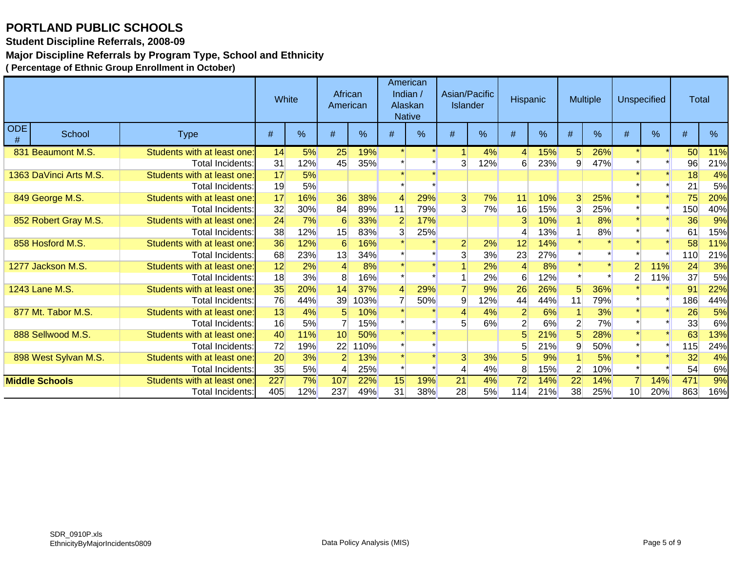**Student Discipline Referrals, 2008-09**

### **Major Discipline Referrals by Program Type, School and Ethnicity**

|                        |                             | White |     | African<br>American |      | American<br>Indian /<br>Alaskan<br><b>Native</b> |      | Asian/Pacific<br><b>Islander</b> |     | Hispanic       |               |                | <b>Multiple</b> | <b>Unspecified</b> |     | <b>Total</b> |     |
|------------------------|-----------------------------|-------|-----|---------------------|------|--------------------------------------------------|------|----------------------------------|-----|----------------|---------------|----------------|-----------------|--------------------|-----|--------------|-----|
| ODE<br>School<br>#     | <b>Type</b>                 | $\#$  | %   | #                   | %    | $\#$                                             | $\%$ | #                                | %   | #              | $\frac{0}{0}$ | $\#$           | %               | #                  | %   | $\#$         | %   |
| 831 Beaumont M.S.      | Students with at least one: | 14    | 5%  | 25                  | 19%  |                                                  |      |                                  | 4%  | 4              | 15%           | 5 <sup>5</sup> | 26%             |                    |     | 50           | 11% |
|                        | Total Incidents:            | 31    | 12% | 45                  | 35%  |                                                  |      | 3                                | 12% | 6              | 23%           | 9              | 47%             |                    |     | 96           | 21% |
| 1363 DaVinci Arts M.S. | Students with at least one: | 17    | 5%  |                     |      |                                                  |      |                                  |     |                |               |                |                 |                    |     | 18           | 4%  |
|                        | Total Incidents:            | 19    | 5%  |                     |      |                                                  |      |                                  |     |                |               |                |                 |                    |     | 21           | 5%  |
| 849 George M.S.        | Students with at least one: | 17    | 16% | 36                  | 38%  | 4                                                | 29%  | 3 <sup>1</sup>                   | 7%  | 11             | 10%           | 3              | 25%             |                    |     | 75           | 20% |
|                        | Total Incidents:            | 32    | 30% | 84                  | 89%  | 11                                               | 79%  | $\overline{3}$                   | 7%  | 16             | 15%           | 3              | 25%             |                    |     | 150          | 40% |
| 852 Robert Gray M.S.   | Students with at least one: | 24    | 7%  | 6                   | 33%  |                                                  | 17%  |                                  |     | 3              | 10%           |                | 8%              |                    |     | 36           | 9%  |
|                        | Total Incidents:            | 38    | 12% | 15                  | 83%  | 3                                                | 25%  |                                  |     |                | 13%           |                | 8%              |                    |     | 61           | 15% |
| 858 Hosford M.S.       | Students with at least one: | 36    | 12% | 6                   | 16%  |                                                  |      | $\overline{2}$                   | 2%  | 12             | 14%           |                |                 |                    |     | 58           | 11% |
|                        | Total Incidents:            | 68    | 23% | 13                  | 34%  |                                                  |      | 3                                | 3%  | 23             | 27%           |                |                 |                    |     | 110          | 21% |
| 1277 Jackson M.S.      | Students with at least one: | 12    | 2%  |                     | 8%   |                                                  |      |                                  | 2%  |                | 8%            |                |                 | $\overline{2}$     | 11% | 24           | 3%  |
|                        | Total Incidents:            | 18    | 3%  | 8                   | 16%  |                                                  |      |                                  | 2%  | 6              | 12%           |                |                 | 2                  | 11% | 37           | 5%  |
| 1243 Lane M.S.         | Students with at least one: | 35    | 20% | 14                  | 37%  |                                                  | 29%  |                                  | 9%  | 26             | 26%           |                | 36%             |                    |     | 91           | 22% |
|                        | Total Incidents:            | 76    | 44% | 39                  | 103% |                                                  | 50%  | 9                                | 12% | 44             | 44%           | 11             | 79%             |                    |     | 186          | 44% |
| 877 Mt. Tabor M.S.     | Students with at least one: | 13    | 4%  | 5                   | 10%  |                                                  |      |                                  | 4%  | $\overline{2}$ | 6%            |                | 3%              |                    |     | 26           | 5%  |
|                        | Total Incidents:            | 16    | 5%  |                     | 15%  |                                                  |      |                                  | 6%  |                | 6%            |                | 7%              |                    |     | 33           | 6%  |
| 888 Sellwood M.S.      | Students with at least one: | 40    | 11% | 10                  | 50%  |                                                  |      |                                  |     |                | 21%           |                | 28%             |                    |     | 63           | 13% |
|                        | Total Incidents:            | 72    | 19% | 22                  | 10%  |                                                  |      |                                  |     |                | 21%           |                | 50%             |                    |     | 115          | 24% |
| 898 West Sylvan M.S.   | Students with at least one: | 20    | 3%  |                     | 13%  |                                                  |      | 3 <sup>1</sup>                   | 3%  | 5              | 9%            |                | 5%              |                    |     | 32           | 4%  |
|                        | Total Incidents:            | 35    | 5%  | 4                   | 25%  |                                                  |      |                                  | 4%  | 8              | 15%           | $\overline{2}$ | 10%             |                    |     | 54           | 6%  |
| <b>Middle Schools</b>  | Students with at least one: | 227   | 7%  | 107                 | 22%  | 15                                               | 19%  | 21                               | 4%  | 72             | 14%           | 22             | 14%             |                    | 14% | 471          | 9%  |
|                        | Total Incidents:            | 405   | 12% | 237                 | 49%  | 31                                               | 38%  | 28                               | 5%  | 114            | 21%           | 38             | 25%             | 10 <sup>1</sup>    | 20% | 863          | 16% |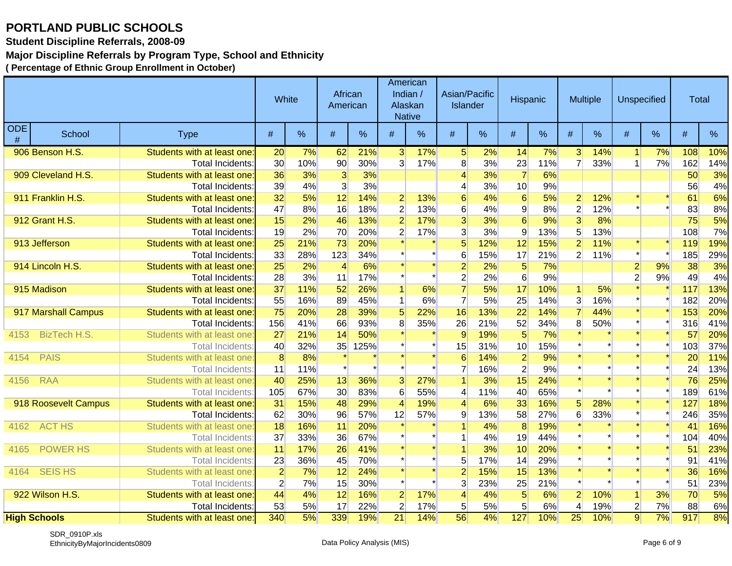**Student Discipline Referrals, 2008-09**

### **Major Discipline Referrals by Program Type, School and Ethnicity**

|                    |                      |                             | White           |     | African<br>American |      |                 | American<br>Indian /<br>Alaskan<br><b>Native</b> | Asian/Pacific<br><b>Islander</b> |     | Hispanic        |               |                      | Multiple |                      | <b>Unspecified</b> | <b>Total</b> |      |
|--------------------|----------------------|-----------------------------|-----------------|-----|---------------------|------|-----------------|--------------------------------------------------|----------------------------------|-----|-----------------|---------------|----------------------|----------|----------------------|--------------------|--------------|------|
| <b>ODE</b><br>$\#$ | School               | <b>Type</b>                 | #               | %   | #                   | %    | #               | $\%$                                             | #                                | %   | #               | $\frac{0}{0}$ | #                    | %        | $\#$                 | %                  | $\#$         | $\%$ |
|                    | 906 Benson H.S.      | Students with at least one: | 20 <sup>°</sup> | 7%  | 62                  | 21%  | $\overline{3}$  | 17%                                              | 5 <sup>1</sup>                   | 2%  | 14              | 7%            | 3 <sup>l</sup>       | 14%      | $\blacktriangleleft$ | 7%                 | 108          | 10%  |
|                    |                      | <b>Total Incidents:</b>     | 30              | 10% | 90 <sup>°</sup>     | 30%  | 3 <sup>1</sup>  | 17%                                              | 8 <sup>1</sup>                   | 3%  | 23              | 11%           | $\overline{7}$       | 33%      | $\mathbf{1}$         | 7%                 | 162          | 14%  |
|                    | 909 Cleveland H.S.   | Students with at least one: | 36              | 3%  | 3                   | 3%   |                 |                                                  | $\overline{\mathcal{L}}$         | 3%  | $\overline{7}$  | 6%            |                      |          |                      |                    | 50           | 3%   |
|                    |                      | Total Incidents:            | 39              | 4%  | 3 <sup>1</sup>      | 3%   |                 |                                                  | 4                                | 3%  | 10 <sup>1</sup> | 9%            |                      |          |                      |                    | 56           | 4%   |
|                    | 911 Franklin H.S.    | Students with at least one: | 32              | 5%  | 12                  | 14%  | $\overline{2}$  | 13%                                              | $6 \,$                           | 4%  | 6               | 5%            | $\overline{2}$       | 12%      |                      |                    | 61           | 6%   |
|                    |                      | Total Incidents:            | 47              | 8%  | 16                  | 18%  | $\overline{2}$  | 13%                                              | 6                                | 4%  | $\overline{9}$  | 8%            | $\overline{2}$       | 12%      |                      |                    | 83           | 8%   |
|                    | 912 Grant H.S.       | Students with at least one: | 15              | 2%  | 46                  | 13%  | $\overline{2}$  | 17%                                              | $\overline{3}$                   | 3%  | 6               | 9%            | $\overline{3}$       | 8%       |                      |                    | 75           | 5%   |
|                    |                      | Total Incidents:            | 19              | 2%  | 70                  | 20%  | $\mathbf{2}$    | 17%                                              | $\overline{3}$                   | 3%  | 9               | 13%           | 5 <sup>5</sup>       | 13%      |                      |                    | 108          | 7%   |
|                    | 913 Jefferson        | Students with at least one  | 25              | 21% | 73                  | 20%  |                 |                                                  | $\overline{5}$                   | 12% | 12              | 15%           | $\overline{2}$       | 11%      |                      |                    | 119          | 19%  |
|                    |                      | Total Incidents:            | 33              | 28% | 123                 | 34%  |                 |                                                  | 6                                | 15% | 17              | 21%           | $\overline{2}$       | 11%      |                      |                    | 185          | 29%  |
|                    | 914 Lincoln H.S.     | Students with at least one: | 25              | 2%  | $\overline{4}$      | 6%   |                 |                                                  | $\overline{2}$                   | 2%  | 5 <sup>1</sup>  | 7%            |                      |          | $\overline{2}$       | 9%                 | 38           | 3%   |
|                    |                      | Total Incidents:            | 28              | 3%  | 11                  | 17%  |                 |                                                  | $\overline{2}$                   | 2%  | 6 <sup>1</sup>  | 9%            |                      |          | $\overline{2}$       | 9%                 | 49           | 4%   |
|                    | 915 Madison          | Students with at least one: | 37              | 11% | 52                  | 26%  | 1               | 6%                                               | $\overline{7}$                   | 5%  | 17              | 10%           | $\blacktriangleleft$ | 5%       |                      |                    | 117          | 13%  |
|                    |                      | Total Incidents:            | 55              | 16% | 89                  | 45%  | $\mathbf{1}$    | 6%                                               | $\overline{7}$                   | 5%  | 25              | 14%           | 3                    | 16%      |                      |                    | 182          | 20%  |
|                    | 917 Marshall Campus  | Students with at least one  | 75              | 20% | 28                  | 39%  | $\overline{5}$  | 22%                                              | 16                               | 13% | $\overline{22}$ | 14%           |                      | 44%      |                      |                    | 153          | 20%  |
|                    |                      | Total Incidents:            | 156             | 41% | 66                  | 93%  | 8 <sup>1</sup>  | 35%                                              | 26                               | 21% | 52              | 34%           | 8                    | 50%      |                      |                    | 316          | 41%  |
| 4153               | <b>BizTech H.S.</b>  | Students with at least one  | 27              | 21% | 14                  | 50%  |                 |                                                  | 9                                | 19% | 5               | 7%            |                      |          |                      |                    | 57           | 20%  |
|                    |                      | <b>Total Incidents</b>      | 40              | 32% | 35                  | 125% |                 |                                                  | 15                               | 31% | 10              | 15%           |                      |          |                      | $\star$            | 103          | 37%  |
| 4154               | <b>PAIS</b>          | Students with at least one  | 8               | 8%  |                     |      |                 |                                                  | 6                                | 14% | $\overline{2}$  | 9%            |                      | $\star$  |                      | $\star$            | 20           | 11%  |
|                    |                      | <b>Total Incidents</b>      | 11              | 11% |                     |      |                 |                                                  | $\overline{7}$                   | 16% | $\overline{2}$  | 9%            |                      |          |                      |                    | 24           | 13%  |
| 4156               | <b>RAA</b>           | Students with at least one  | 40              | 25% | 13                  | 36%  | 3 <sup>1</sup>  | 27%                                              |                                  | 3%  | 15              | 24%           |                      | $\star$  |                      |                    | 76           | 25%  |
|                    |                      | <b>Total Incidents</b>      | 105             | 67% | 30 <sup>2</sup>     | 83%  | 6               | 55%                                              | $\overline{4}$                   | 11% | 40              | 65%           |                      |          |                      |                    | 189          | 61%  |
|                    | 918 Roosevelt Campus | Students with at least one  | 31              | 15% | 48                  | 29%  | $\overline{4}$  | 19%                                              | 4                                | 6%  | 33              | 16%           | $\overline{5}$       | 28%      |                      | $\star$            | 127          | 18%  |
|                    |                      | Total Incidents:            | 62              | 30% | 96                  | 57%  | 12              | 57%                                              | 9                                | 13% | 58              | 27%           | 6                    | 33%      |                      |                    | 246          | 35%  |
| 4162               | <b>ACT HS</b>        | Students with at least one  | 18              | 16% | 11                  | 20%  |                 |                                                  |                                  | 4%  | 8               | 19%           |                      |          |                      |                    | 41           | 16%  |
|                    |                      | <b>Total Incidents</b>      | 37              | 33% | 36                  | 67%  |                 |                                                  |                                  | 4%  | 19              | 44%           |                      |          |                      |                    | 104          | 40%  |
| 4165               | <b>POWER HS</b>      | Students with at least one  | 11              | 17% | 26                  | 41%  |                 |                                                  |                                  | 3%  | 10              | 20%           |                      |          |                      |                    | 51           | 23%  |
|                    |                      | Total Incidents:            | 23              | 36% | 45                  | 70%  |                 |                                                  | 5                                | 17% | 14              | 29%           |                      |          |                      |                    | 91           | 41%  |
| 4164               | <b>SEIS HS</b>       | Students with at least one  | $\overline{2}$  | 7%  | 12                  | 24%  |                 |                                                  | $\overline{2}$                   | 15% | 15              | 13%           |                      | $\star$  |                      | $\star$            | 36           | 16%  |
|                    |                      | <b>Total Incidents</b>      | $\overline{2}$  | 7%  | 15                  | 30%  |                 |                                                  | 3                                | 23% | 25              | 21%           |                      |          |                      |                    | 51           | 23%  |
|                    | 922 Wilson H.S.      | Students with at least one: | 44              | 4%  | 12                  | 16%  | $\overline{2}$  | 17%                                              | $\overline{4}$                   | 4%  | 5 <sup>5</sup>  | 6%            | $\overline{2}$       | 10%      | $\vert$              | 3%                 | 70           | 5%   |
|                    |                      | <b>Total Incidents:</b>     | 53              | 5%  | 17                  | 22%  | $\overline{2}$  | 17%                                              | 5 <sup>5</sup>                   | 5%  | 5 <sup>5</sup>  | 6%            | $\overline{4}$       | 19%      | $\overline{2}$       | 7%                 | 88           | 6%   |
|                    | <b>High Schools</b>  | Students with at least one: | 340             | 5%  | 339                 | 19%  | $\overline{21}$ | 14%                                              | 56                               | 4%  | 127             | 10%           | 25                   | 10%      | $\overline{9}$       | $\overline{7\%}$   | 917          | 8%   |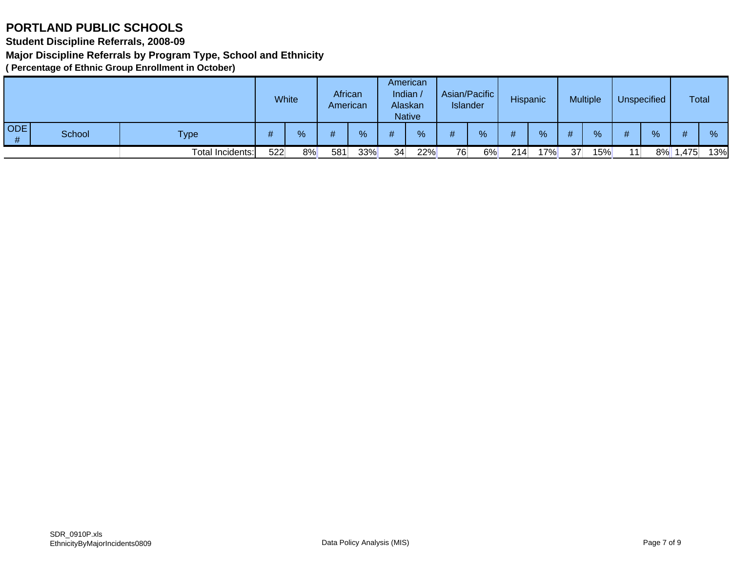**Student Discipline Referrals, 2008-09**

**Major Discipline Referrals by Program Type, School and Ethnicity**

|          |        |                  |     | White | African<br>American |     |    | American<br>Indian<br>Alaskan<br><b>Native</b> | <b>Islander</b> | Asian/Pacific | Hispanic |     |    | <b>Multiple</b> |    | <b>Unspecified</b> | <b>Total</b> |     |
|----------|--------|------------------|-----|-------|---------------------|-----|----|------------------------------------------------|-----------------|---------------|----------|-----|----|-----------------|----|--------------------|--------------|-----|
| ODE<br># | School | <b>Type</b>      |     | %     |                     | %   |    | %                                              | #               | $\%$          | #        | %   | #  | %               |    | %                  | #            | %   |
|          |        | Total Incidents: | 522 | 8%    | 581                 | 33% | 34 | 22%                                            | 76              | 6%            | 214      | 17% | 37 | 15%             | 11 | 8%                 | ∃475,،       | 13% |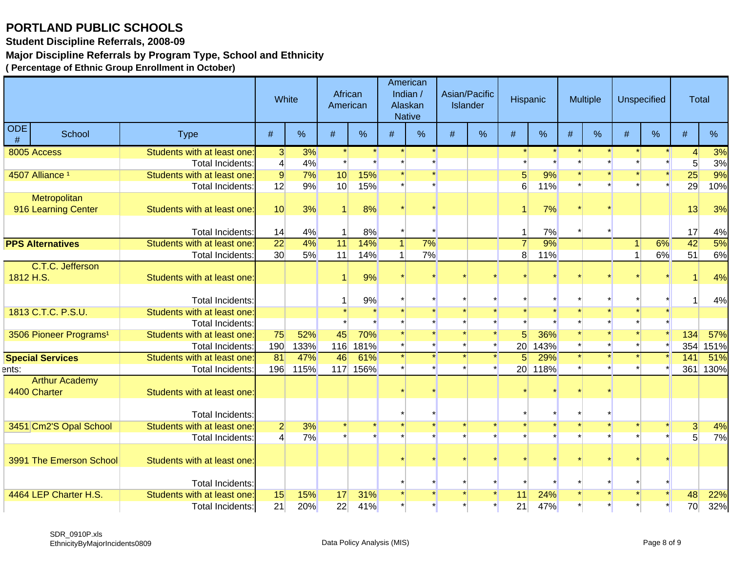**Student Discipline Referrals, 2008-09**

#### **Major Discipline Referrals by Program Type, School and Ethnicity**

|                 |                                    |                                                        | White                       |             | African<br>American |                    |   | American<br>Indian /<br>Alaskan<br><b>Native</b> |      | Asian/Pacific<br><b>Islander</b> |                                   | Hispanic           |      | Multiple |      | <b>Unspecified</b> | <b>Total</b>                   |             |
|-----------------|------------------------------------|--------------------------------------------------------|-----------------------------|-------------|---------------------|--------------------|---|--------------------------------------------------|------|----------------------------------|-----------------------------------|--------------------|------|----------|------|--------------------|--------------------------------|-------------|
| <b>ODE</b><br># | School                             | <b>Type</b>                                            | $\#$                        | %           | #                   | $\%$               | # | %                                                | $\#$ | $\%$                             | $\#$                              | $\%$               | $\#$ | %        | $\#$ | %                  | #                              | %           |
|                 | 8005 Access                        | Students with at least one:                            | 3                           | 3%          |                     |                    |   |                                                  |      |                                  |                                   |                    |      |          |      |                    | $\overline{4}$                 | 3%          |
|                 |                                    | Total Incidents:                                       | $\left 4\right $            | 4%          |                     |                    |   |                                                  |      |                                  |                                   |                    |      |          |      |                    | 5 <sup>5</sup>                 | 3%          |
|                 | 4507 Alliance <sup>1</sup>         | Students with at least one:                            | $\overline{9}$              | 7%          | 10                  | 15%                |   |                                                  |      |                                  |                                   | 9%                 |      |          |      |                    | 25                             | 9%          |
|                 |                                    | Total Incidents:                                       | 12                          | 9%          | 10 <sup>1</sup>     | 15%                |   |                                                  |      |                                  | 6                                 | 11%                |      |          |      |                    | 29                             | 10%         |
|                 | Metropolitan                       |                                                        |                             |             |                     |                    |   |                                                  |      |                                  |                                   |                    |      |          |      |                    |                                |             |
|                 | 916 Learning Center                | Students with at least one:                            | 10                          | 3%          |                     | 8%                 |   |                                                  |      |                                  |                                   | 7%                 |      |          |      |                    | 13                             | 3%          |
|                 |                                    | Total Incidents:                                       | 14                          | 4%          | $\mathbf{1}$        | 8%                 |   |                                                  |      |                                  |                                   | 7%                 |      |          |      |                    | 17                             | 4%          |
|                 | <b>PPS Alternatives</b>            | Students with at least one:                            | $\overline{22}$             | 4%          | 11                  | 14%                |   | 7%                                               |      |                                  |                                   | 9%                 |      |          | 1    | 6%                 | 42                             | 5%          |
|                 |                                    | Total Incidents:                                       | 30 <sup>°</sup>             | 5%          | 11                  | 14%                |   | 7%                                               |      |                                  | 8                                 | 11%                |      |          | 1    | 6%                 | 51                             | 6%          |
|                 | C.T.C. Jefferson                   |                                                        |                             |             |                     |                    |   |                                                  |      |                                  |                                   |                    |      |          |      |                    |                                |             |
| 1812 H.S.       |                                    | Students with at least one:                            |                             |             |                     | 9%                 |   |                                                  |      |                                  |                                   |                    |      |          |      |                    |                                | 4%          |
|                 |                                    | Total Incidents:                                       |                             |             |                     |                    |   |                                                  |      |                                  |                                   |                    |      |          |      |                    | 1                              |             |
|                 | 1813 C.T.C. P.S.U.                 | Students with at least one:                            |                             |             |                     | 9%                 |   |                                                  |      |                                  |                                   |                    |      |          |      |                    |                                | 4%          |
|                 |                                    |                                                        |                             |             |                     |                    |   |                                                  |      |                                  |                                   |                    |      |          |      |                    |                                |             |
|                 |                                    | Total Incidents:                                       |                             |             |                     |                    |   |                                                  |      |                                  |                                   |                    |      |          |      |                    |                                |             |
|                 | 3506 Pioneer Programs <sup>1</sup> | Students with at least one:                            | 75                          | 52%         | 45                  | 70%                |   |                                                  |      |                                  |                                   | 36%                |      |          |      |                    | 134                            | 57%         |
|                 |                                    | <b>Total Incidents:</b><br>Students with at least one: | 190<br>$\overline{81}$      | 133%<br>47% | 116<br>46           | <b>181%</b><br>61% |   |                                                  |      |                                  | 20 <sup>2</sup><br>5 <sup>1</sup> | <b>143%</b><br>29% |      |          |      |                    | 354                            | 151%<br>51% |
|                 | <b>Special Services</b>            | Total Incidents:                                       | 196                         |             |                     | 117 156%           |   |                                                  |      |                                  |                                   | 20 118%            |      |          |      |                    | 141<br>361                     | 130%        |
| ents:           | <b>Arthur Academy</b>              |                                                        |                             | <b>115%</b> |                     |                    |   |                                                  |      |                                  |                                   |                    |      |          |      |                    |                                |             |
|                 | 4400 Charter                       | Students with at least one:                            |                             |             |                     |                    |   |                                                  |      |                                  |                                   |                    |      |          |      |                    |                                |             |
|                 |                                    | Total Incidents:                                       |                             |             |                     |                    |   |                                                  |      |                                  |                                   |                    |      |          |      |                    |                                |             |
|                 |                                    | Students with at least one:                            |                             | 3%          |                     |                    |   |                                                  |      |                                  |                                   |                    |      |          |      |                    |                                |             |
|                 | 3451 Cm2'S Opal School             |                                                        | $2\vert$<br>$\vert 4 \vert$ | 7%          |                     |                    |   |                                                  |      |                                  |                                   |                    |      |          |      |                    | $\mathbf{3}$<br>$\overline{5}$ | 4%<br>7%    |
|                 |                                    | Total Incidents:                                       |                             |             |                     |                    |   |                                                  |      |                                  |                                   |                    |      |          |      |                    |                                |             |
|                 | 3991 The Emerson School            | Students with at least one:                            |                             |             |                     |                    |   |                                                  |      |                                  |                                   |                    |      |          |      |                    |                                |             |
|                 |                                    |                                                        |                             |             |                     |                    |   |                                                  |      |                                  |                                   |                    |      |          |      |                    |                                |             |
|                 |                                    | Total Incidents:                                       |                             |             |                     |                    |   |                                                  |      |                                  |                                   |                    |      |          |      |                    |                                |             |
|                 | 4464 LEP Charter H.S.              | Students with at least one                             | 15                          | 15%         | 17                  | 31%                |   |                                                  |      |                                  | 11                                | 24%                |      |          |      |                    | 48                             | 22%         |
|                 |                                    | Total Incidents:                                       | 21                          | 20%         | 22                  | 41%                |   |                                                  |      |                                  | 21                                | 47%                |      |          |      |                    | 70                             | 32%         |